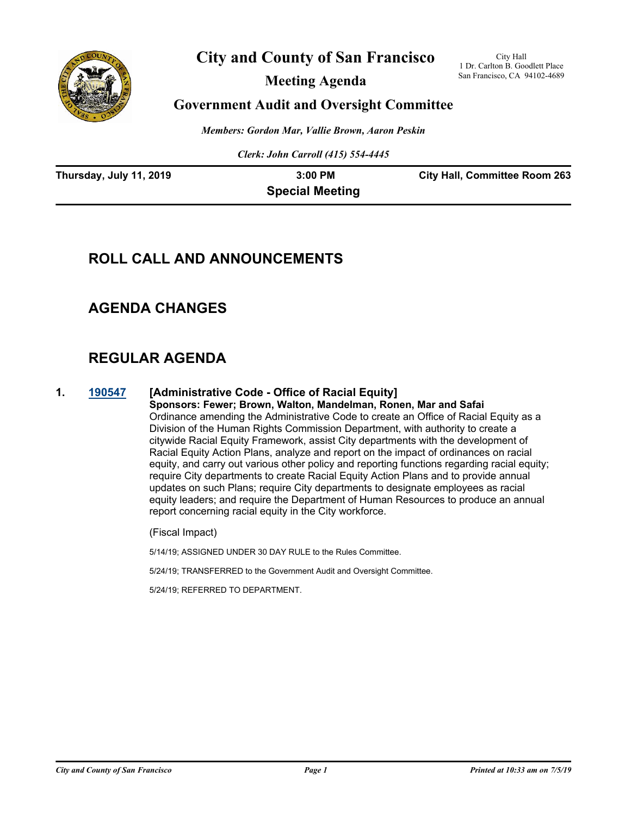

# **City and County of San Francisco**

**Meeting Agenda**

City Hall 1 Dr. Carlton B. Goodlett Place San Francisco, CA 94102-4689

## **Government Audit and Oversight Committee**

*Members: Gordon Mar, Vallie Brown, Aaron Peskin*

*Clerk: John Carroll (415) 554-4445*

| Thursday, July 11, 2019 | $3:00$ PM              | <b>City Hall, Committee Room 263</b> |
|-------------------------|------------------------|--------------------------------------|
|                         | <b>Special Meeting</b> |                                      |

# **ROLL CALL AND ANNOUNCEMENTS**

# **AGENDA CHANGES**

# **REGULAR AGENDA**

## **1. [190547](http://sfgov.legistar.com/gateway.aspx?m=l&id=34669) [Administrative Code - Office of Racial Equity]**

**Sponsors: Fewer; Brown, Walton, Mandelman, Ronen, Mar and Safai** Ordinance amending the Administrative Code to create an Office of Racial Equity as a Division of the Human Rights Commission Department, with authority to create a citywide Racial Equity Framework, assist City departments with the development of Racial Equity Action Plans, analyze and report on the impact of ordinances on racial equity, and carry out various other policy and reporting functions regarding racial equity; require City departments to create Racial Equity Action Plans and to provide annual updates on such Plans; require City departments to designate employees as racial equity leaders; and require the Department of Human Resources to produce an annual report concerning racial equity in the City workforce.

(Fiscal Impact)

5/14/19; ASSIGNED UNDER 30 DAY RULE to the Rules Committee.

5/24/19; TRANSFERRED to the Government Audit and Oversight Committee.

5/24/19; REFERRED TO DEPARTMENT.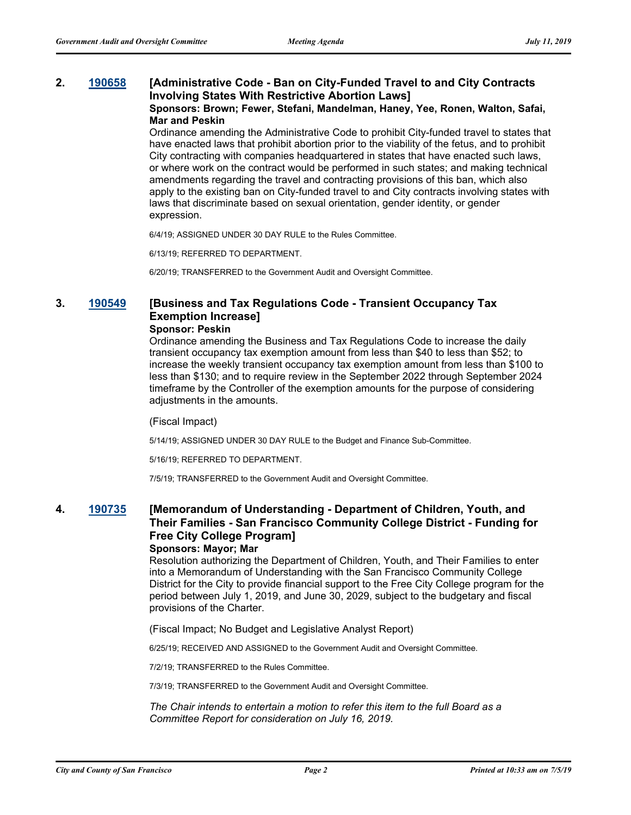#### **2. [190658](http://sfgov.legistar.com/gateway.aspx?m=l&id=34780) [Administrative Code - Ban on City-Funded Travel to and City Contracts Involving States With Restrictive Abortion Laws] Sponsors: Brown; Fewer, Stefani, Mandelman, Haney, Yee, Ronen, Walton, Safai, Mar and Peskin**

Ordinance amending the Administrative Code to prohibit City-funded travel to states that have enacted laws that prohibit abortion prior to the viability of the fetus, and to prohibit City contracting with companies headquartered in states that have enacted such laws, or where work on the contract would be performed in such states; and making technical amendments regarding the travel and contracting provisions of this ban, which also apply to the existing ban on City-funded travel to and City contracts involving states with laws that discriminate based on sexual orientation, gender identity, or gender expression.

6/4/19; ASSIGNED UNDER 30 DAY RULE to the Rules Committee.

6/13/19; REFERRED TO DEPARTMENT.

6/20/19; TRANSFERRED to the Government Audit and Oversight Committee.

## **3. [190549](http://sfgov.legistar.com/gateway.aspx?m=l&id=34671) [Business and Tax Regulations Code - Transient Occupancy Tax Exemption Increase]**

## **Sponsor: Peskin**

Ordinance amending the Business and Tax Regulations Code to increase the daily transient occupancy tax exemption amount from less than \$40 to less than \$52; to increase the weekly transient occupancy tax exemption amount from less than \$100 to less than \$130; and to require review in the September 2022 through September 2024 timeframe by the Controller of the exemption amounts for the purpose of considering adjustments in the amounts.

#### (Fiscal Impact)

5/14/19; ASSIGNED UNDER 30 DAY RULE to the Budget and Finance Sub-Committee.

5/16/19; REFERRED TO DEPARTMENT.

7/5/19; TRANSFERRED to the Government Audit and Oversight Committee.

## **4. [190735](http://sfgov.legistar.com/gateway.aspx?m=l&id=34857) [Memorandum of Understanding - Department of Children, Youth, and Their Families - San Francisco Community College District - Funding for Free City College Program]**

## **Sponsors: Mayor; Mar**

Resolution authorizing the Department of Children, Youth, and Their Families to enter into a Memorandum of Understanding with the San Francisco Community College District for the City to provide financial support to the Free City College program for the period between July 1, 2019, and June 30, 2029, subject to the budgetary and fiscal provisions of the Charter.

(Fiscal Impact; No Budget and Legislative Analyst Report)

6/25/19; RECEIVED AND ASSIGNED to the Government Audit and Oversight Committee.

7/2/19; TRANSFERRED to the Rules Committee.

7/3/19; TRANSFERRED to the Government Audit and Oversight Committee.

*The Chair intends to entertain a motion to refer this item to the full Board as a Committee Report for consideration on July 16, 2019.*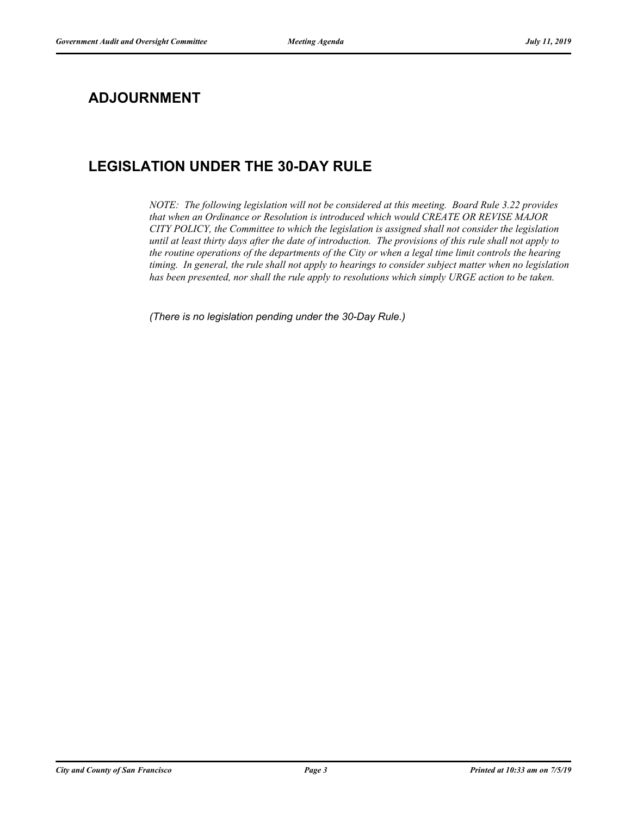# **ADJOURNMENT**

# **LEGISLATION UNDER THE 30-DAY RULE**

*NOTE: The following legislation will not be considered at this meeting. Board Rule 3.22 provides that when an Ordinance or Resolution is introduced which would CREATE OR REVISE MAJOR CITY POLICY, the Committee to which the legislation is assigned shall not consider the legislation until at least thirty days after the date of introduction. The provisions of this rule shall not apply to the routine operations of the departments of the City or when a legal time limit controls the hearing timing. In general, the rule shall not apply to hearings to consider subject matter when no legislation has been presented, nor shall the rule apply to resolutions which simply URGE action to be taken.*

*(There is no legislation pending under the 30-Day Rule.)*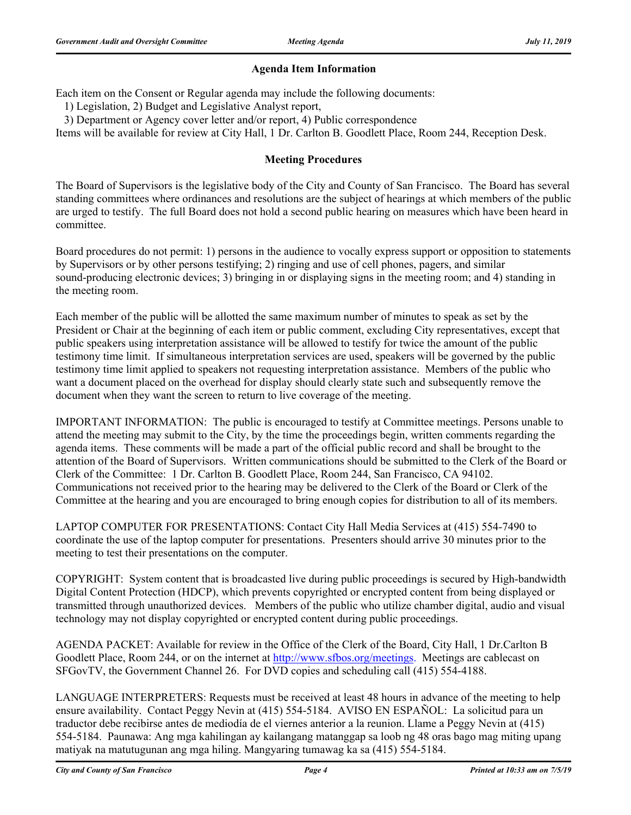## **Agenda Item Information**

Each item on the Consent or Regular agenda may include the following documents:

1) Legislation, 2) Budget and Legislative Analyst report,

3) Department or Agency cover letter and/or report, 4) Public correspondence

Items will be available for review at City Hall, 1 Dr. Carlton B. Goodlett Place, Room 244, Reception Desk.

## **Meeting Procedures**

The Board of Supervisors is the legislative body of the City and County of San Francisco. The Board has several standing committees where ordinances and resolutions are the subject of hearings at which members of the public are urged to testify. The full Board does not hold a second public hearing on measures which have been heard in committee.

Board procedures do not permit: 1) persons in the audience to vocally express support or opposition to statements by Supervisors or by other persons testifying; 2) ringing and use of cell phones, pagers, and similar sound-producing electronic devices; 3) bringing in or displaying signs in the meeting room; and 4) standing in the meeting room.

Each member of the public will be allotted the same maximum number of minutes to speak as set by the President or Chair at the beginning of each item or public comment, excluding City representatives, except that public speakers using interpretation assistance will be allowed to testify for twice the amount of the public testimony time limit. If simultaneous interpretation services are used, speakers will be governed by the public testimony time limit applied to speakers not requesting interpretation assistance. Members of the public who want a document placed on the overhead for display should clearly state such and subsequently remove the document when they want the screen to return to live coverage of the meeting.

IMPORTANT INFORMATION: The public is encouraged to testify at Committee meetings. Persons unable to attend the meeting may submit to the City, by the time the proceedings begin, written comments regarding the agenda items. These comments will be made a part of the official public record and shall be brought to the attention of the Board of Supervisors. Written communications should be submitted to the Clerk of the Board or Clerk of the Committee: 1 Dr. Carlton B. Goodlett Place, Room 244, San Francisco, CA 94102. Communications not received prior to the hearing may be delivered to the Clerk of the Board or Clerk of the Committee at the hearing and you are encouraged to bring enough copies for distribution to all of its members.

LAPTOP COMPUTER FOR PRESENTATIONS: Contact City Hall Media Services at (415) 554-7490 to coordinate the use of the laptop computer for presentations. Presenters should arrive 30 minutes prior to the meeting to test their presentations on the computer.

COPYRIGHT: System content that is broadcasted live during public proceedings is secured by High-bandwidth Digital Content Protection (HDCP), which prevents copyrighted or encrypted content from being displayed or transmitted through unauthorized devices. Members of the public who utilize chamber digital, audio and visual technology may not display copyrighted or encrypted content during public proceedings.

AGENDA PACKET: Available for review in the Office of the Clerk of the Board, City Hall, 1 Dr.Carlton B Goodlett Place, Room 244, or on the internet at http://www.sfbos.org/meetings. Meetings are cablecast on SFGovTV, the Government Channel 26. For DVD copies and scheduling call (415) 554-4188.

LANGUAGE INTERPRETERS: Requests must be received at least 48 hours in advance of the meeting to help ensure availability. Contact Peggy Nevin at (415) 554-5184. AVISO EN ESPAÑOL: La solicitud para un traductor debe recibirse antes de mediodía de el viernes anterior a la reunion. Llame a Peggy Nevin at (415) 554-5184. Paunawa: Ang mga kahilingan ay kailangang matanggap sa loob ng 48 oras bago mag miting upang matiyak na matutugunan ang mga hiling. Mangyaring tumawag ka sa (415) 554-5184.